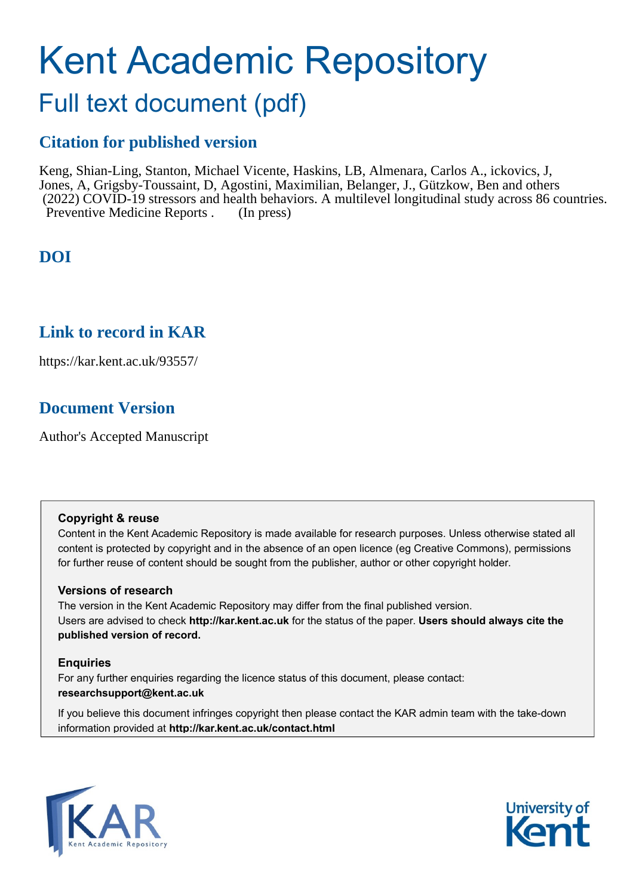# Kent Academic Repository

## Full text document (pdf)

## **Citation for published version**

Keng, Shian-Ling, Stanton, Michael Vicente, Haskins, LB, Almenara, Carlos A., ickovics, J, Jones, A, Grigsby-Toussaint, D, Agostini, Maximilian, Belanger, J., Gützkow, Ben and others (2022) COVID-19 stressors and health behaviors. A multilevel longitudinal study across 86 countries. Preventive Medicine Reports . (In press)

## **DOI**

## **Link to record in KAR**

https://kar.kent.ac.uk/93557/

## **Document Version**

Author's Accepted Manuscript

#### **Copyright & reuse**

Content in the Kent Academic Repository is made available for research purposes. Unless otherwise stated all content is protected by copyright and in the absence of an open licence (eg Creative Commons), permissions for further reuse of content should be sought from the publisher, author or other copyright holder.

#### **Versions of research**

The version in the Kent Academic Repository may differ from the final published version. Users are advised to check **http://kar.kent.ac.uk** for the status of the paper. **Users should always cite the published version of record.**

#### **Enquiries**

For any further enquiries regarding the licence status of this document, please contact: **researchsupport@kent.ac.uk**

If you believe this document infringes copyright then please contact the KAR admin team with the take-down information provided at **http://kar.kent.ac.uk/contact.html**



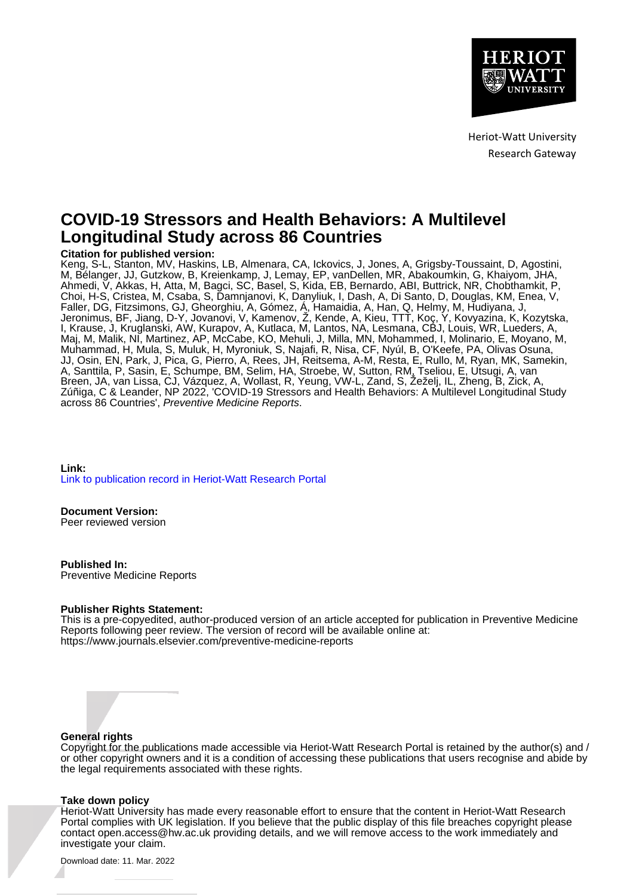

Heriot-Watt University Research Gateway

### **COVID-19 Stressors and Health Behaviors: A Multilevel Longitudinal Study across 86 Countries**

#### **Citation for published version:**

Keng, S-L, Stanton, MV, Haskins, LB, Almenara, CA, Ickovics, J, Jones, A, Grigsby-Toussaint, D, Agostini, M, Bélanger, JJ, Gutzkow, B, Kreienkamp, J, Lemay, EP, vanDellen, MR, Abakoumkin, G, Khaiyom, JHA, Ahmedi, V, Akkas, H, Atta, M, Bagci, SC, Basel, S, Kida, EB, Bernardo, ABI, Buttrick, NR, Chobthamkit, P, Choi, H-S, Cristea, M, Csaba, S, Damnjanovi, K, Danyliuk, I, Dash, A, Di Santo, D, Douglas, KM, Enea, V, Faller, DG, Fitzsimons, GJ, Gheorghiu, A, Gómez, Á, Hamaidia, A, Han, Q, Helmy, M, Hudiyana, J, Jeronimus, BF, Jiang, D-Y, Jovanovi, V, Kamenov, Ž, Kende, A, Kieu, TTT, Koç, Y, Kovyazina, K, Kozytska, I, Krause, J, Kruglanski, AW, Kurapov, A, Kutlaca, M, Lantos, NA, Lesmana, CBJ, Louis, WR, Lueders, A, Maj, M, Malik, NI, Martinez, AP, McCabe, KO, Mehuli, J, Milla, MN, Mohammed, I, Molinario, E, Moyano, M, Muhammad, H, Mula, S, Muluk, H, Myroniuk, S, Najafi, R, Nisa, CF, Nyúl, B, O'Keefe, PA, Olivas Osuna, JJ, Osin, EN, Park, J, Pica, G, Pierro, A, Rees, JH, Reitsema, A-M, Resta, E, Rullo, M, Ryan, MK, Samekin, A, Santtila, P, Sasin, E, Schumpe, BM, Selim, HA, Stroebe, W, Sutton, RM, Tseliou, E, Utsugi, A, van Breen, JA, van Lissa, CJ, Vázquez, A, Wollast, R, Yeung, VW-L, Zand, S, Žeželj, IL, Zheng, B, Zick, A, Zúñiga, C & Leander, NP 2022, 'COVID-19 Stressors and Health Behaviors: A Multilevel Longitudinal Study across 86 Countries', Preventive Medicine Reports.

**Link:** [Link to publication record in Heriot-Watt Research Portal](https://researchportal.hw.ac.uk/en/publications/4273eabb-e3b6-4fe7-b720-f69c684b3d24)

#### **Document Version:**

Peer reviewed version

**Published In:** Preventive Medicine Reports

#### **Publisher Rights Statement:**

This is a pre-copyedited, author-produced version of an article accepted for publication in Preventive Medicine Reports following peer review. The version of record will be available online at: https://www.journals.elsevier.com/preventive-medicine-reports

#### **General rights**

Copyright for the publications made accessible via Heriot-Watt Research Portal is retained by the author(s) and / or other copyright owners and it is a condition of accessing these publications that users recognise and abide by the legal requirements associated with these rights.

#### **Take down policy**

Heriot-Watt University has made every reasonable effort to ensure that the content in Heriot-Watt Research Portal complies with UK legislation. If you believe that the public display of this file breaches copyright please contact open.access@hw.ac.uk providing details, and we will remove access to the work immediately and investigate your claim.

Download date: 11. Mar. 2022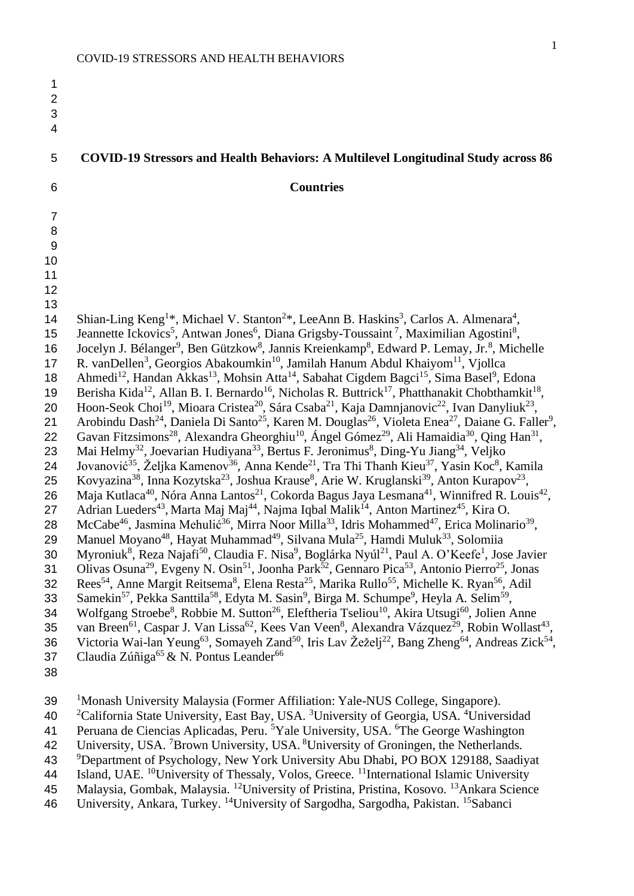| $\mathbf 1$<br>$\overline{2}$<br>3<br>$\overline{\mathbf{4}}$                                                                                                                                                            |                                                                                                                                                                                                                                                                                                                                                                                                                                                                                                                                                                                                                                                                                                                                                                                                                                                                                                                                                                                                                                                                                                                                                                                                                                                                                                                                                                                                                                                                                                                                                                                                                                                                                                                                                                                                                                                                                                                                                                                                                                                                                                                                                                                                                                                                                                                                                                                                                                                                                                                                                                                                                                                                                                                                                                                                                                                                                                                                                                                                                                                                                                                                                                                                                                                                                                                                                                                                                                                                                                                                                                                                    |
|--------------------------------------------------------------------------------------------------------------------------------------------------------------------------------------------------------------------------|----------------------------------------------------------------------------------------------------------------------------------------------------------------------------------------------------------------------------------------------------------------------------------------------------------------------------------------------------------------------------------------------------------------------------------------------------------------------------------------------------------------------------------------------------------------------------------------------------------------------------------------------------------------------------------------------------------------------------------------------------------------------------------------------------------------------------------------------------------------------------------------------------------------------------------------------------------------------------------------------------------------------------------------------------------------------------------------------------------------------------------------------------------------------------------------------------------------------------------------------------------------------------------------------------------------------------------------------------------------------------------------------------------------------------------------------------------------------------------------------------------------------------------------------------------------------------------------------------------------------------------------------------------------------------------------------------------------------------------------------------------------------------------------------------------------------------------------------------------------------------------------------------------------------------------------------------------------------------------------------------------------------------------------------------------------------------------------------------------------------------------------------------------------------------------------------------------------------------------------------------------------------------------------------------------------------------------------------------------------------------------------------------------------------------------------------------------------------------------------------------------------------------------------------------------------------------------------------------------------------------------------------------------------------------------------------------------------------------------------------------------------------------------------------------------------------------------------------------------------------------------------------------------------------------------------------------------------------------------------------------------------------------------------------------------------------------------------------------------------------------------------------------------------------------------------------------------------------------------------------------------------------------------------------------------------------------------------------------------------------------------------------------------------------------------------------------------------------------------------------------------------------------------------------------------------------------------------------------|
| 5                                                                                                                                                                                                                        | <b>COVID-19 Stressors and Health Behaviors: A Multilevel Longitudinal Study across 86</b>                                                                                                                                                                                                                                                                                                                                                                                                                                                                                                                                                                                                                                                                                                                                                                                                                                                                                                                                                                                                                                                                                                                                                                                                                                                                                                                                                                                                                                                                                                                                                                                                                                                                                                                                                                                                                                                                                                                                                                                                                                                                                                                                                                                                                                                                                                                                                                                                                                                                                                                                                                                                                                                                                                                                                                                                                                                                                                                                                                                                                                                                                                                                                                                                                                                                                                                                                                                                                                                                                                          |
| 6                                                                                                                                                                                                                        | <b>Countries</b>                                                                                                                                                                                                                                                                                                                                                                                                                                                                                                                                                                                                                                                                                                                                                                                                                                                                                                                                                                                                                                                                                                                                                                                                                                                                                                                                                                                                                                                                                                                                                                                                                                                                                                                                                                                                                                                                                                                                                                                                                                                                                                                                                                                                                                                                                                                                                                                                                                                                                                                                                                                                                                                                                                                                                                                                                                                                                                                                                                                                                                                                                                                                                                                                                                                                                                                                                                                                                                                                                                                                                                                   |
| $\overline{7}$<br>$\, 8$<br>$\overline{9}$<br>10<br>11<br>12<br>13<br>14<br>15<br>16<br>17<br>18<br>19<br>20<br>21<br>22<br>23<br>24<br>25<br>26<br>27<br>28<br>29<br>30<br>31<br>32<br>33<br>34<br>35<br>36<br>37<br>38 | Shian-Ling Keng <sup>1*</sup> , Michael V. Stanton <sup>2*</sup> , LeeAnn B. Haskins <sup>3</sup> , Carlos A. Almenara <sup>4</sup> ,<br>Jeannette Ickovics <sup>5</sup> , Antwan Jones <sup>6</sup> , Diana Grigsby-Toussaint <sup>7</sup> , Maximilian Agostini <sup>8</sup> ,<br>Jocelyn J. Bélanger <sup>9</sup> , Ben Gützkow <sup>8</sup> , Jannis Kreienkamp <sup>8</sup> , Edward P. Lemay, Jr. <sup>8</sup> , Michelle<br>R. vanDellen <sup>3</sup> , Georgios Abakoumkin <sup>10</sup> , Jamilah Hanum Abdul Khaiyom <sup>11</sup> , Vjollca<br>Ahmedi <sup>12</sup> , Handan Akkas <sup>13</sup> , Mohsin Atta <sup>14</sup> , Sabahat Cigdem Bagci <sup>15</sup> , Sima Basel <sup>9</sup> , Edona<br>Berisha Kida <sup>12</sup> , Allan B. I. Bernardo <sup>16</sup> , Nicholas R. Buttrick <sup>17</sup> , Phatthanakit Chobthamkit <sup>18</sup> ,<br>Hoon-Seok Choi <sup>19</sup> , Mioara Cristea <sup>20</sup> , Sára Csaba <sup>21</sup> , Kaja Damnjanovic <sup>22</sup> , Ivan Danyliuk <sup>23</sup> ,<br>Arobindu Dash <sup>24</sup> , Daniela Di Santo <sup>25</sup> , Karen M. Douglas <sup>26</sup> , Violeta Enea <sup>27</sup> , Daiane G. Faller <sup>9</sup> ,<br>Gavan Fitzsimons <sup>28</sup> , Alexandra Gheorghiu <sup>10</sup> , Ángel Gómez <sup>29</sup> , Ali Hamaidia <sup>30</sup> , Qing Han <sup>31</sup> ,<br>Mai Helmy <sup>32</sup> , Joevarian Hudiyana <sup>33</sup> , Bertus F. Jeronimus <sup>8</sup> , Ding-Yu Jiang <sup>34</sup> , Veljko<br>Jovanović <sup>35</sup> , Željka Kamenov <sup>36</sup> , Anna Kende <sup>21</sup> , Tra Thi Thanh Kieu <sup>37</sup> , Yasin Koc <sup>8</sup> , Kamila<br>Kovyazina <sup>38</sup> , Inna Kozytska <sup>23</sup> , Joshua Krause <sup>8</sup> , Arie W. Kruglanski <sup>39</sup> , Anton Kurapov <sup>23</sup> ,<br>Maja Kutlaca <sup>40</sup> , Nóra Anna Lantos <sup>21</sup> , Cokorda Bagus Jaya Lesmana <sup>41</sup> , Winnifred R. Louis <sup>42</sup> ,<br>Adrian Lueders <sup>43</sup> , Marta Maj Maj <sup>44</sup> , Najma Iqbal Malik <sup>14</sup> , Anton Martinez <sup>45</sup> , Kira O.<br>McCabe <sup>46</sup> , Jasmina Mehulić <sup>36</sup> , Mirra Noor Milla <sup>33</sup> , Idris Mohammed <sup>47</sup> , Erica Molinario <sup>39</sup> ,<br>Manuel Moyano <sup>48</sup> , Hayat Muhammad <sup>49</sup> , Silvana Mula <sup>25</sup> , Hamdi Muluk <sup>33</sup> , Solomiia<br>Myroniuk <sup>8</sup> , Reza Najafi <sup>50</sup> , Claudia F. Nisa <sup>9</sup> , Boglárka Nyúl <sup>21</sup> , Paul A. O'Keefe <sup>1</sup> , Jose Javier<br>Olivas Osuna <sup>29</sup> , Evgeny N. Osin <sup>51</sup> , Joonha Park <sup>52</sup> , Gennaro Pica <sup>53</sup> , Antonio Pierro <sup>25</sup> , Jonas<br>Rees <sup>54</sup> , Anne Margit Reitsema <sup>8</sup> , Elena Resta <sup>25</sup> , Marika Rullo <sup>55</sup> , Michelle K. Ryan <sup>56</sup> , Adil<br>Samekin <sup>57</sup> , Pekka Santtila <sup>58</sup> , Edyta M. Sasin <sup>9</sup> , Birga M. Schumpe <sup>9</sup> , Heyla A. Selim <sup>59</sup> ,<br>Wolfgang Stroebe <sup>8</sup> , Robbie M. Sutton <sup>26</sup> , Eleftheria Tseliou <sup>10</sup> , Akira Utsugi <sup>60</sup> , Jolien Anne<br>van Breen <sup>61</sup> , Caspar J. Van Lissa <sup>62</sup> , Kees Van Veen <sup>8</sup> , Alexandra Vázquez <sup>29</sup> , Robin Wollast <sup>43</sup> ,<br>Victoria Wai-lan Yeung <sup>63</sup> , Somayeh Zand <sup>50</sup> , Iris Lav Žeželj <sup>22</sup> , Bang Zheng <sup>64</sup> , Andreas Zick <sup>54</sup> ,<br>Claudia Zúñiga <sup>65</sup> & N. Pontus Leander <sup>66</sup> |
|                                                                                                                                                                                                                          |                                                                                                                                                                                                                                                                                                                                                                                                                                                                                                                                                                                                                                                                                                                                                                                                                                                                                                                                                                                                                                                                                                                                                                                                                                                                                                                                                                                                                                                                                                                                                                                                                                                                                                                                                                                                                                                                                                                                                                                                                                                                                                                                                                                                                                                                                                                                                                                                                                                                                                                                                                                                                                                                                                                                                                                                                                                                                                                                                                                                                                                                                                                                                                                                                                                                                                                                                                                                                                                                                                                                                                                                    |

- 39 <sup>1</sup>Monash University Malaysia (Former Affiliation: Yale-NUS College, Singapore).
- <sup>2</sup>California State University, East Bay, USA. <sup>3</sup>University of Georgia, USA. <sup>4</sup>Universidad
- 41 Peruana de Ciencias Aplicadas, Peru. <sup>5</sup>Yale University, USA. <sup>6</sup>The George Washington
- 42 University, USA. <sup>7</sup>Brown University, USA. <sup>8</sup>University of Groningen, the Netherlands.
- <sup>9</sup> 43 Department of Psychology, New York University Abu Dhabi, PO BOX 129188, Saadiyat
- Island, UAE. <sup>10</sup>University of Thessaly, Volos, Greece. <sup>11</sup>International Islamic University
- 45 Malaysia, Gombak, Malaysia. <sup>12</sup>University of Pristina, Pristina, Kosovo. <sup>13</sup>Ankara Science
- 46 University, Ankara, Turkey. <sup>14</sup>University of Sargodha, Sargodha, Pakistan. <sup>15</sup>Sabanci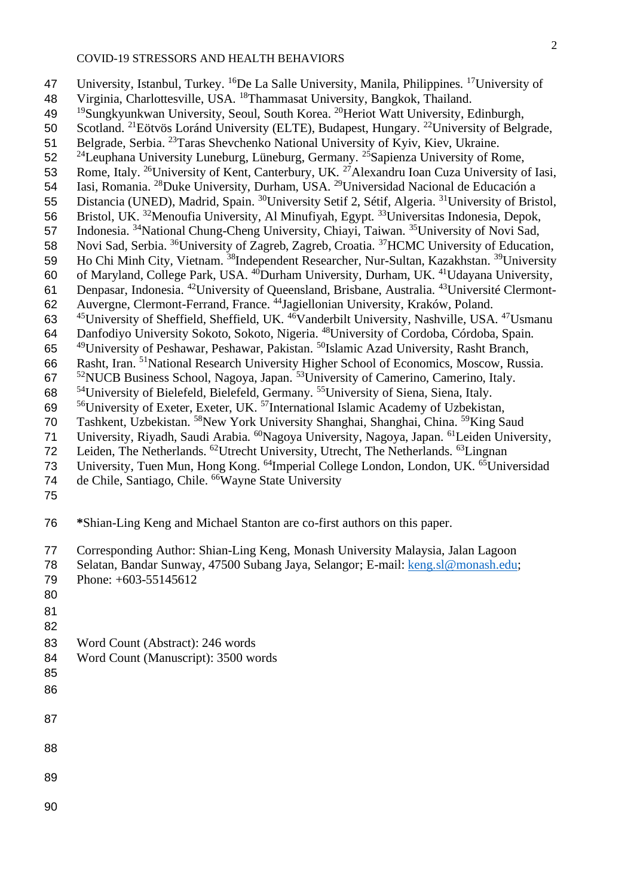47 University, Istanbul, Turkey. <sup>16</sup>De La Salle University, Manila, Philippines. <sup>17</sup> University of 48 Virginia, Charlottesville, USA. <sup>18</sup> Thammasat University, Bangkok, Thailand. <sup>19</sup>Sungkyunkwan University, Seoul, South Korea. <sup>20</sup> 49 Heriot Watt University, Edinburgh, 50 Scotland. <sup>21</sup>Eötvös Loránd University (ELTE), Budapest, Hungary. <sup>22</sup>University of Belgrade, 51 Belgrade, Serbia. <sup>23</sup> Taras Shevchenko National University of Kyiv, Kiev, Ukraine.  $2^{24}$ Leuphana University Luneburg, Lüneburg, Germany. <sup>25</sup> Sapienza University of Rome, 53 Rome, Italy. <sup>26</sup>University of Kent, Canterbury, UK. <sup>27</sup> Alexandru Ioan Cuza University of Iasi, Iasi, Romania. <sup>28</sup>Duke University, Durham, USA. <sup>29</sup>Universidad Nacional de Educación a 55 Distancia (UNED), Madrid, Spain. <sup>30</sup>University Setif 2, Sétif, Algeria. <sup>31</sup>University of Bristol,  $B$ ristol, UK.  $32$ Menoufia University, Al Minufiyah, Egypt.  $33$ Universitas Indonesia, Depok, 57 Indonesia. <sup>34</sup>National Chung-Cheng University, Chiayi, Taiwan. <sup>35</sup>University of Novi Sad, 58 Novi Sad, Serbia. <sup>36</sup>University of Zagreb, Zagreb, Croatia. <sup>37</sup>HCMC University of Education, 59 Ho Chi Minh City, Vietnam. <sup>38</sup>Independent Researcher, Nur-Sultan, Kazakhstan. <sup>39</sup> University of Maryland, College Park, USA. <sup>40</sup>Durham University, Durham, UK. <sup>41</sup>Udayana University, 61 Denpasar, Indonesia. <sup>42</sup>University of Queensland, Brisbane, Australia. <sup>43</sup>Université Clermont-62 Auvergne, Clermont-Ferrand, France. <sup>44</sup> Jagiellonian University, Kraków, Poland. 63 <sup>45</sup>University of Sheffield, Sheffield, UK. <sup>46</sup>Vanderbilt University, Nashville, USA. <sup>47</sup>Usmanu 64 Danfodiyo University Sokoto, Sokoto, Nigeria. <sup>48</sup> University of Cordoba, Córdoba, Spain. 65 <sup>49</sup>University of Peshawar, Peshawar, Pakistan. <sup>50</sup>Islamic Azad University, Rasht Branch, 66 Rasht, Iran. <sup>51</sup> National Research University Higher School of Economics, Moscow, Russia. 67 <sup>52</sup>NUCB Business School, Nagoya, Japan. <sup>53</sup>University of Camerino, Camerino, Italy.  $54$ University of Bielefeld, Bielefeld, Germany.  $55$ University of Siena, Siena, Italy. 69 <sup>56</sup>University of Exeter, Exeter, UK.<sup>57</sup>International Islamic Academy of Uzbekistan, 70 Tashkent, Uzbekistan. <sup>58</sup>New York University Shanghai, Shanghai, China. <sup>59</sup>King Saud 71 University, Riyadh, Saudi Arabia. <sup>60</sup>Nagoya University, Nagoya, Japan. <sup>61</sup> Leiden University, 72 Leiden, The Netherlands. <sup>62</sup>Utrecht University, Utrecht, The Netherlands. <sup>63</sup>Lingnan

- 73 University, Tuen Mun, Hong Kong. <sup>64</sup>Imperial College London, London, UK. <sup>65</sup>Universidad 74 de Chile, Santiago, Chile. <sup>66</sup>Wayne State University
- 75
- 76 **\***Shian-Ling Keng and Michael Stanton are co-first authors on this paper.
- 77 Corresponding Author: Shian-Ling Keng, Monash University Malaysia, Jalan Lagoon
- 78 Selatan, Bandar Sunway, 47500 Subang Jaya, Selangor; E-mail: [keng.sl@monash.edu;](mailto:keng.sl@monash.edu)
- 79 Phone: +603-55145612
- 80
- 81
- 82
- 83 Word Count (Abstract): 246 words
- 84 Word Count (Manuscript): 3500 words
- 85
- 86
- 87
- 
- 88
- 89
- 90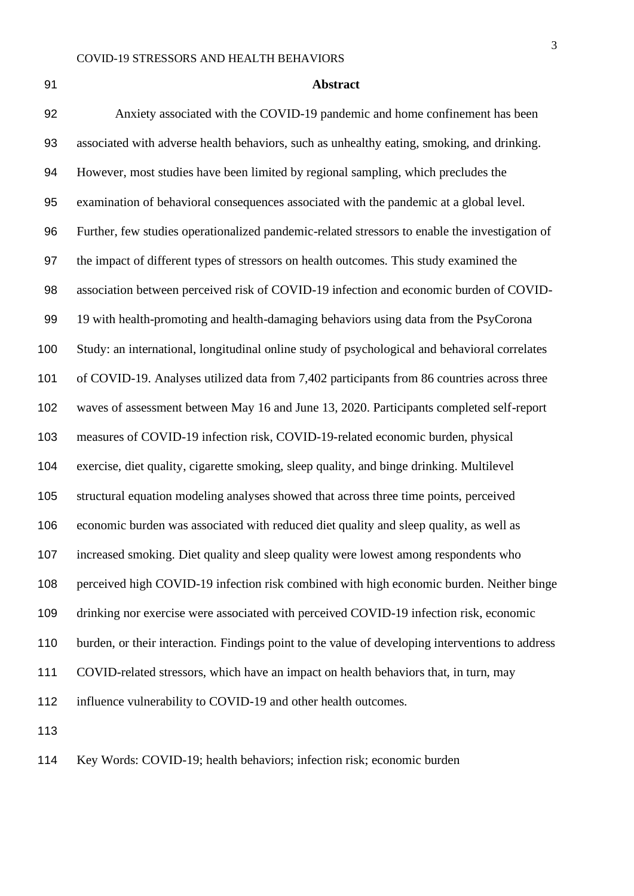#### **Abstract**

 Anxiety associated with the COVID-19 pandemic and home confinement has been associated with adverse health behaviors, such as unhealthy eating, smoking, and drinking. However, most studies have been limited by regional sampling, which precludes the examination of behavioral consequences associated with the pandemic at a global level. Further, few studies operationalized pandemic-related stressors to enable the investigation of the impact of different types of stressors on health outcomes. This study examined the association between perceived risk of COVID-19 infection and economic burden of COVID- 19 with health-promoting and health-damaging behaviors using data from the PsyCorona Study: an international, longitudinal online study of psychological and behavioral correlates of COVID-19. Analyses utilized data from 7,402 participants from 86 countries across three waves of assessment between May 16 and June 13, 2020. Participants completed self-report measures of COVID-19 infection risk, COVID-19-related economic burden, physical exercise, diet quality, cigarette smoking, sleep quality, and binge drinking. Multilevel structural equation modeling analyses showed that across three time points, perceived economic burden was associated with reduced diet quality and sleep quality, as well as increased smoking. Diet quality and sleep quality were lowest among respondents who perceived high COVID-19 infection risk combined with high economic burden. Neither binge drinking nor exercise were associated with perceived COVID-19 infection risk, economic burden, or their interaction. Findings point to the value of developing interventions to address COVID-related stressors, which have an impact on health behaviors that, in turn, may 112 influence vulnerability to COVID-19 and other health outcomes. 

Key Words: COVID-19; health behaviors; infection risk; economic burden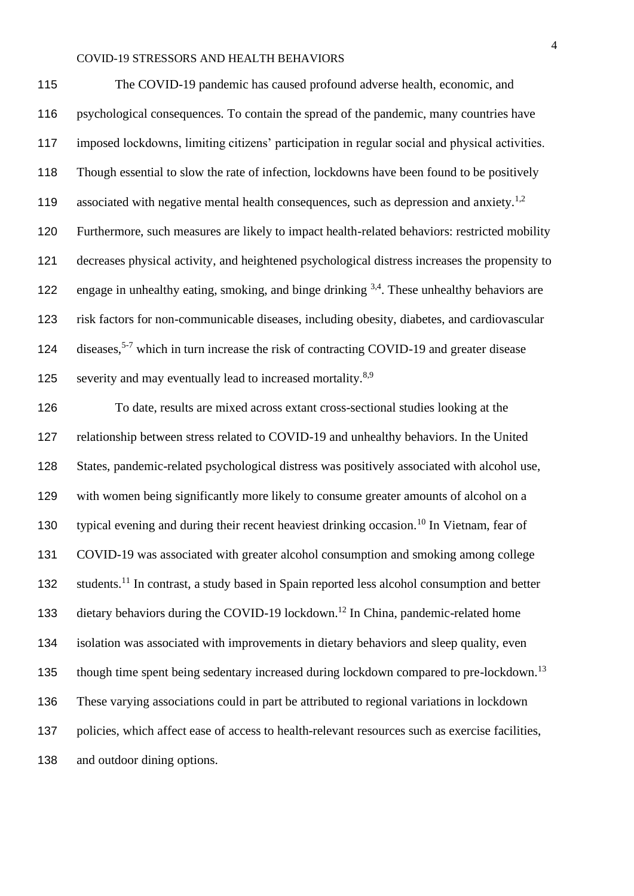The COVID-19 pandemic has caused profound adverse health, economic, and psychological consequences. To contain the spread of the pandemic, many countries have imposed lockdowns, limiting citizens' participation in regular social and physical activities. Though essential to slow the rate of infection, lockdowns have been found to be positively 119 associated with negative mental health consequences, such as depression and anxiety.<sup>1,2</sup> Furthermore, such measures are likely to impact health-related behaviors: restricted mobility decreases physical activity, and heightened psychological distress increases the propensity to 122 engage in unhealthy eating, smoking, and binge drinking  $3,4$ . These unhealthy behaviors are risk factors for non-communicable diseases, including obesity, diabetes, and cardiovascular 124 diseases,<sup>5-7</sup> which in turn increase the risk of contracting COVID-19 and greater disease 125 severity and may eventually lead to increased mortality. $8.9$ 

 To date, results are mixed across extant cross-sectional studies looking at the relationship between stress related to COVID-19 and unhealthy behaviors. In the United States, pandemic-related psychological distress was positively associated with alcohol use, with women being significantly more likely to consume greater amounts of alcohol on a 130 typical evening and during their recent heaviest drinking occasion.<sup>10</sup> In Vietnam, fear of COVID-19 was associated with greater alcohol consumption and smoking among college 132 students.<sup>11</sup> In contrast, a study based in Spain reported less alcohol consumption and better 133 dietary behaviors during the COVID-19 lockdown.<sup>12</sup> In China, pandemic-related home isolation was associated with improvements in dietary behaviors and sleep quality, even though time spent being sedentary increased during lockdown compared to pre-lockdown.<sup>13</sup> These varying associations could in part be attributed to regional variations in lockdown policies, which affect ease of access to health-relevant resources such as exercise facilities, and outdoor dining options.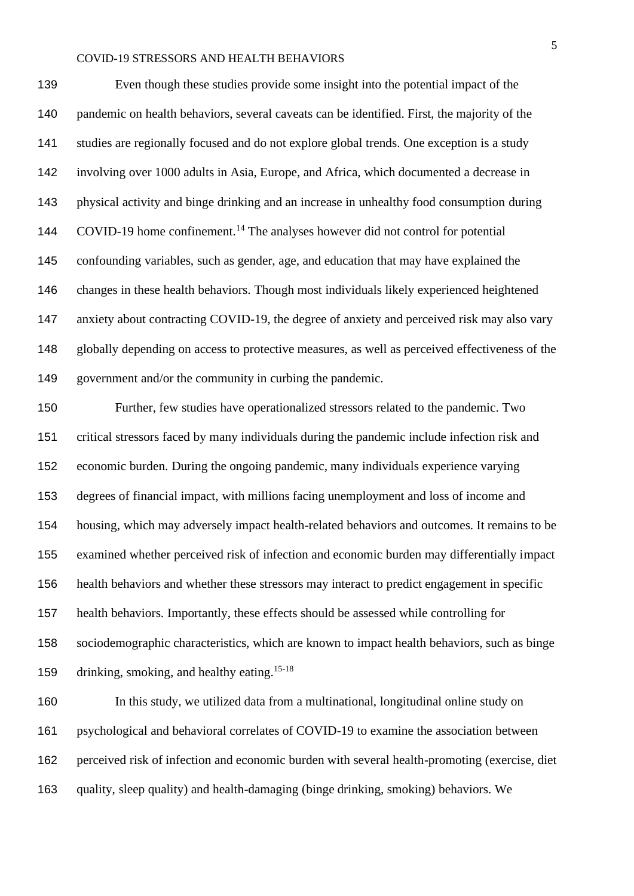Even though these studies provide some insight into the potential impact of the pandemic on health behaviors, several caveats can be identified. First, the majority of the studies are regionally focused and do not explore global trends. One exception is a study involving over 1000 adults in Asia, Europe, and Africa, which documented a decrease in physical activity and binge drinking and an increase in unhealthy food consumption during 144 COVID-19 home confinement.<sup>14</sup> The analyses however did not control for potential confounding variables, such as gender, age, and education that may have explained the changes in these health behaviors. Though most individuals likely experienced heightened anxiety about contracting COVID-19, the degree of anxiety and perceived risk may also vary globally depending on access to protective measures, as well as perceived effectiveness of the government and/or the community in curbing the pandemic.

 Further, few studies have operationalized stressors related to the pandemic. Two critical stressors faced by many individuals during the pandemic include infection risk and economic burden. During the ongoing pandemic, many individuals experience varying degrees of financial impact, with millions facing unemployment and loss of income and housing, which may adversely impact health-related behaviors and outcomes. It remains to be examined whether perceived risk of infection and economic burden may differentially impact health behaviors and whether these stressors may interact to predict engagement in specific health behaviors. Importantly, these effects should be assessed while controlling for sociodemographic characteristics, which are known to impact health behaviors, such as binge 159 drinking, smoking, and healthy eating.<sup>15-18</sup>

 In this study, we utilized data from a multinational, longitudinal online study on psychological and behavioral correlates of COVID-19 to examine the association between perceived risk of infection and economic burden with several health-promoting (exercise, diet quality, sleep quality) and health-damaging (binge drinking, smoking) behaviors. We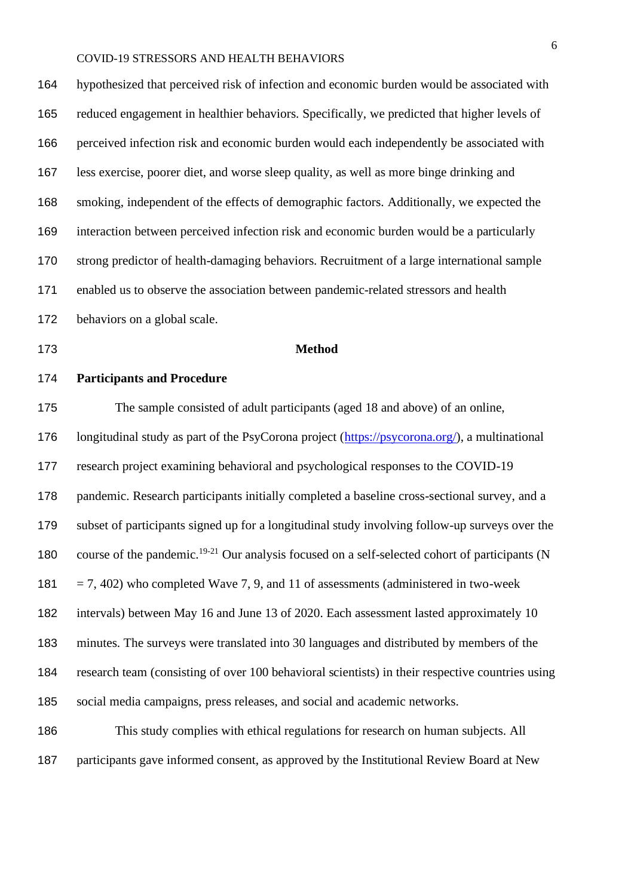hypothesized that perceived risk of infection and economic burden would be associated with reduced engagement in healthier behaviors. Specifically, we predicted that higher levels of perceived infection risk and economic burden would each independently be associated with less exercise, poorer diet, and worse sleep quality, as well as more binge drinking and smoking, independent of the effects of demographic factors. Additionally, we expected the interaction between perceived infection risk and economic burden would be a particularly strong predictor of health-damaging behaviors. Recruitment of a large international sample enabled us to observe the association between pandemic-related stressors and health behaviors on a global scale.

#### **Method**

#### **Participants and Procedure**

 The sample consisted of adult participants (aged 18 and above) of an online, longitudinal study as part of the PsyCorona project [\(https://psycorona.org/\)](https://psycorona.org/), a multinational research project examining behavioral and psychological responses to the COVID-19 pandemic. Research participants initially completed a baseline cross-sectional survey, and a subset of participants signed up for a longitudinal study involving follow-up surveys over the 180 course of the pandemic.<sup>19-21</sup> Our analysis focused on a self-selected cohort of participants (N 181 = 7, 402) who completed Wave 7, 9, and 11 of assessments (administered in two-week intervals) between May 16 and June 13 of 2020. Each assessment lasted approximately 10 minutes. The surveys were translated into 30 languages and distributed by members of the research team (consisting of over 100 behavioral scientists) in their respective countries using social media campaigns, press releases, and social and academic networks.

 This study complies with ethical regulations for research on human subjects. All participants gave informed consent, as approved by the Institutional Review Board at New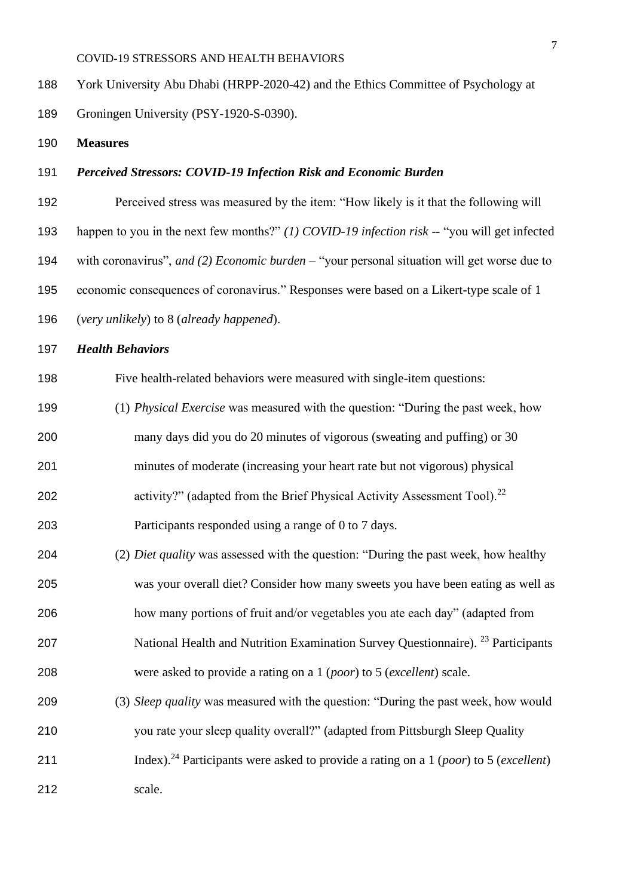York University Abu Dhabi (HRPP-2020-42) and the Ethics Committee of Psychology at Groningen University (PSY-1920-S-0390).

**Measures**

#### *Perceived Stressors: COVID-19 Infection Risk and Economic Burden*

 Perceived stress was measured by the item: "How likely is it that the following will happen to you in the next few months?" *(1) COVID-19 infection risk --* "you will get infected with coronavirus", *and (2) Economic burden –* "your personal situation will get worse due to economic consequences of coronavirus." Responses were based on a Likert-type scale of 1 (*very unlikely*) to 8 (*already happened*).

*Health Behaviors*

Five health-related behaviors were measured with single-item questions:

- (1) *Physical Exercise* was measured with the question: "During the past week, how
- many days did you do 20 minutes of vigorous (sweating and puffing) or 30
- minutes of moderate (increasing your heart rate but not vigorous) physical
- 202 activity?" (adapted from the Brief Physical Activity Assessment Tool).<sup>22</sup>

Participants responded using a range of 0 to 7 days.

- (2) *Diet quality* was assessed with the question: "During the past week, how healthy was your overall diet? Consider how many sweets you have been eating as well as how many portions of fruit and/or vegetables you ate each day" (adapted from
- 207 National Health and Nutrition Examination Survey Questionnaire). <sup>23</sup> Participants were asked to provide a rating on a 1 (*poor*) to 5 (*excellent*) scale.
- (3) *Sleep quality* was measured with the question: "During the past week, how would you rate your sleep quality overall?" (adapted from Pittsburgh Sleep Quality Index).<sup>24</sup> Participants were asked to provide a rating on a 1 (*poor*) to 5 (*excellent*)
- 
- scale.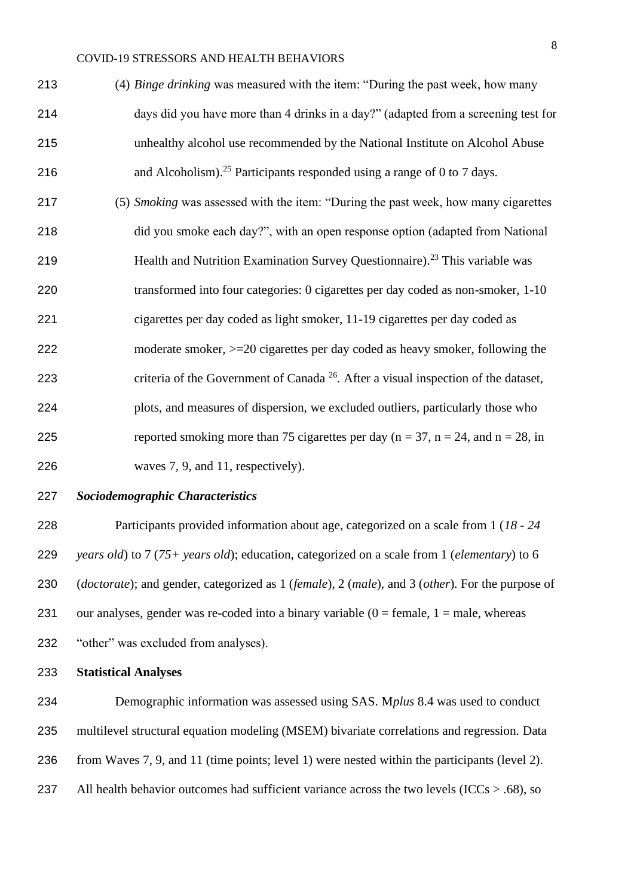| 213 | (4) Binge drinking was measured with the item: "During the past week, how many      |
|-----|-------------------------------------------------------------------------------------|
| 214 | days did you have more than 4 drinks in a day?" (adapted from a screening test for  |
| 215 | unhealthy alcohol use recommended by the National Institute on Alcohol Abuse        |
| 216 | and Alcoholism). <sup>25</sup> Participants responded using a range of 0 to 7 days. |

 (5) *Smoking* was assessed with the item: "During the past week, how many cigarettes did you smoke each day?", with an open response option (adapted from National 219 Health and Nutrition Examination Survey Questionnaire).<sup>23</sup> This variable was transformed into four categories: 0 cigarettes per day coded as non-smoker, 1-10 cigarettes per day coded as light smoker, 11-19 cigarettes per day coded as moderate smoker, >=20 cigarettes per day coded as heavy smoker, following the 223 criteria of the Government of Canada<sup> $26$ </sup>. After a visual inspection of the dataset, plots, and measures of dispersion, we excluded outliers, particularly those who 225 reported smoking more than 75 cigarettes per day  $(n = 37, n = 24, and n = 28, in$ waves 7, 9, and 11, respectively).

#### *Sociodemographic Characteristics*

 Participants provided information about age, categorized on a scale from 1 (*18 - 24 years old*) to 7 (*75+ years old*); education, categorized on a scale from 1 (*elementary*) to 6 (*doctorate*); and gender, categorized as 1 (*female*), 2 (*male*), and 3 (*other*). For the purpose of 231 our analyses, gender was re-coded into a binary variable  $(0 = \text{female}, 1 = \text{male}, \text{whereas})$ "other" was excluded from analyses).

#### **Statistical Analyses**

 Demographic information was assessed using SAS. M*plus* 8.4 was used to conduct multilevel structural equation modeling (MSEM) bivariate correlations and regression. Data from Waves 7, 9, and 11 (time points; level 1) were nested within the participants (level 2). 237 All health behavior outcomes had sufficient variance across the two levels ( $\text{ICCs} > .68$ ), so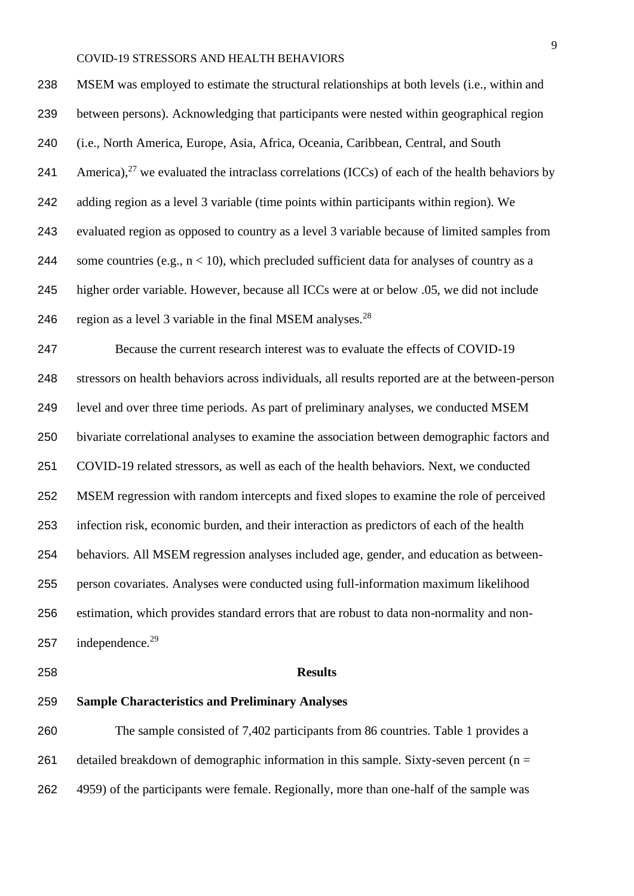MSEM was employed to estimate the structural relationships at both levels (i.e., within and between persons). Acknowledging that participants were nested within geographical region (i.e., North America, Europe, Asia, Africa, Oceania, Caribbean, Central, and South 241 America), <sup>27</sup> we evaluated the intraclass correlations (ICCs) of each of the health behaviors by adding region as a level 3 variable (time points within participants within region). We evaluated region as opposed to country as a level 3 variable because of limited samples from 244 some countries (e.g.,  $n < 10$ ), which precluded sufficient data for analyses of country as a higher order variable. However, because all ICCs were at or below .05, we did not include 246 region as a level 3 variable in the final MSEM analyses.<sup>28</sup>

 Because the current research interest was to evaluate the effects of COVID-19 stressors on health behaviors across individuals, all results reported are at the between-person level and over three time periods. As part of preliminary analyses, we conducted MSEM bivariate correlational analyses to examine the association between demographic factors and COVID-19 related stressors, as well as each of the health behaviors. Next, we conducted MSEM regression with random intercepts and fixed slopes to examine the role of perceived infection risk, economic burden, and their interaction as predictors of each of the health behaviors. All MSEM regression analyses included age, gender, and education as between- person covariates. Analyses were conducted using full-information maximum likelihood estimation, which provides standard errors that are robust to data non-normality and non-257 independence.

#### **Results**

#### **Sample Characteristics and Preliminary Analyses**

 The sample consisted of 7,402 participants from 86 countries. Table 1 provides a 261 detailed breakdown of demographic information in this sample. Sixty-seven percent ( $n =$ 4959) of the participants were female. Regionally, more than one-half of the sample was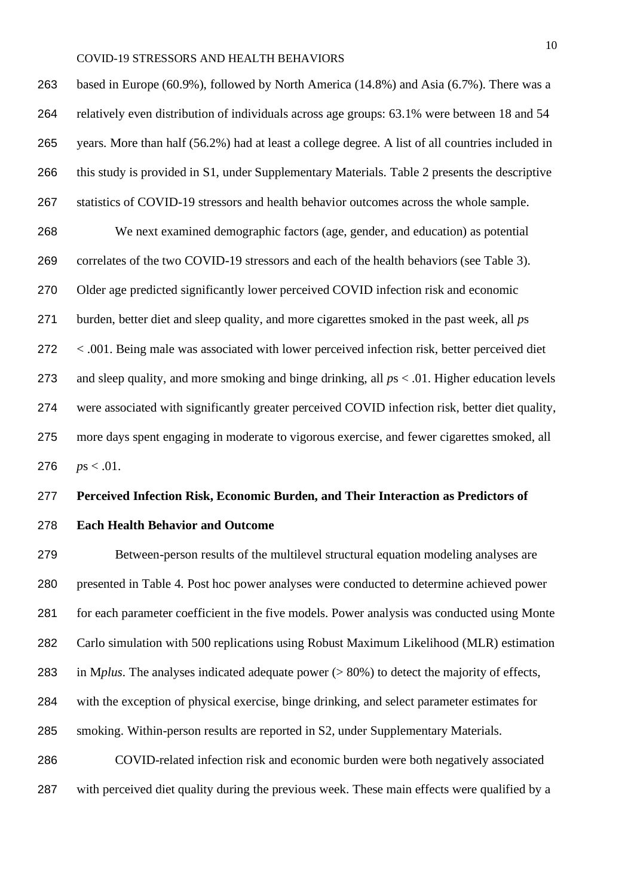based in Europe (60.9%), followed by North America (14.8%) and Asia (6.7%). There was a relatively even distribution of individuals across age groups: 63.1% were between 18 and 54 years. More than half (56.2%) had at least a college degree. A list of all countries included in this study is provided in S1, under Supplementary Materials. Table 2 presents the descriptive statistics of COVID-19 stressors and health behavior outcomes across the whole sample. We next examined demographic factors (age, gender, and education) as potential

 correlates of the two COVID-19 stressors and each of the health behaviors (see Table 3). Older age predicted significantly lower perceived COVID infection risk and economic burden, better diet and sleep quality, and more cigarettes smoked in the past week, all *p*s < .001. Being male was associated with lower perceived infection risk, better perceived diet and sleep quality, and more smoking and binge drinking, all *p*s < .01. Higher education levels were associated with significantly greater perceived COVID infection risk, better diet quality,

 more days spent engaging in moderate to vigorous exercise, and fewer cigarettes smoked, all 276  $ps < .01$ .

#### **Perceived Infection Risk, Economic Burden, and Their Interaction as Predictors of**

#### **Each Health Behavior and Outcome**

 Between-person results of the multilevel structural equation modeling analyses are presented in Table 4. Post hoc power analyses were conducted to determine achieved power for each parameter coefficient in the five models. Power analysis was conducted using Monte Carlo simulation with 500 replications using Robust Maximum Likelihood (MLR) estimation in M*plus*. The analyses indicated adequate power (> 80%) to detect the majority of effects, with the exception of physical exercise, binge drinking, and select parameter estimates for smoking. Within-person results are reported in S2, under Supplementary Materials. COVID-related infection risk and economic burden were both negatively associated with perceived diet quality during the previous week. These main effects were qualified by a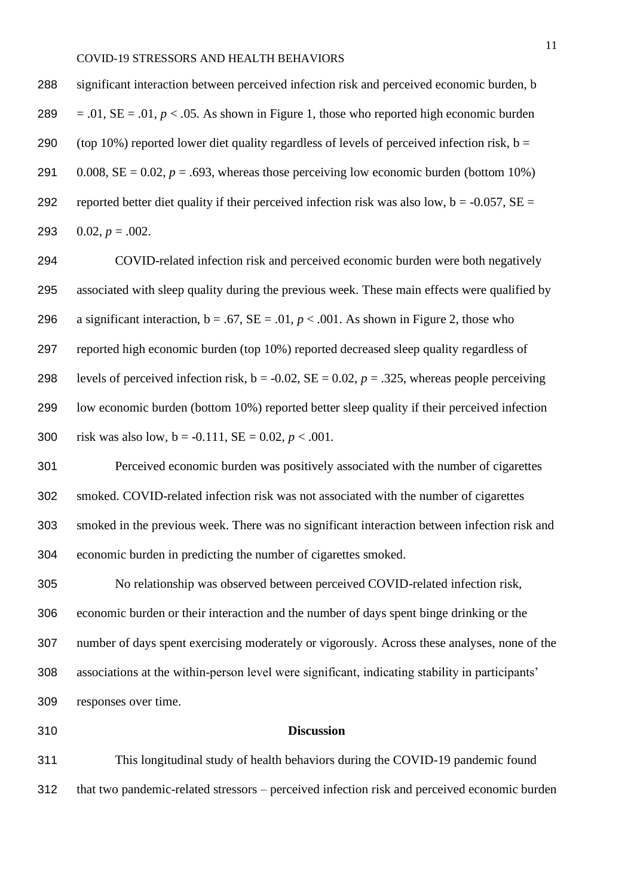| 288 | significant interaction between perceived infection risk and perceived economic burden, b          |
|-----|----------------------------------------------------------------------------------------------------|
| 289 | $= .01$ , SE = .01, p < .05. As shown in Figure 1, those who reported high economic burden         |
| 290 | (top 10%) reported lower diet quality regardless of levels of perceived infection risk, $b =$      |
| 291 | 0.008, SE = 0.02, $p = .693$ , whereas those perceiving low economic burden (bottom 10%)           |
| 292 | reported better diet quality if their perceived infection risk was also low, $b = -0.057$ , $SE =$ |
| 293 | $0.02, p = .002.$                                                                                  |

 COVID-related infection risk and perceived economic burden were both negatively associated with sleep quality during the previous week. These main effects were qualified by 296 a significant interaction,  $b = .67$ ,  $SE = .01$ ,  $p < .001$ . As shown in Figure 2, those who reported high economic burden (top 10%) reported decreased sleep quality regardless of 298 levels of perceived infection risk,  $b = -0.02$ ,  $SE = 0.02$ ,  $p = .325$ , whereas people perceiving low economic burden (bottom 10%) reported better sleep quality if their perceived infection 300 risk was also low,  $b = -0.111$ ,  $SE = 0.02$ ,  $p < .001$ .

 Perceived economic burden was positively associated with the number of cigarettes smoked. COVID-related infection risk was not associated with the number of cigarettes smoked in the previous week. There was no significant interaction between infection risk and economic burden in predicting the number of cigarettes smoked.

 No relationship was observed between perceived COVID-related infection risk, economic burden or their interaction and the number of days spent binge drinking or the number of days spent exercising moderately or vigorously. Across these analyses, none of the associations at the within-person level were significant, indicating stability in participants' responses over time.

#### **Discussion**

 This longitudinal study of health behaviors during the COVID-19 pandemic found that two pandemic-related stressors – perceived infection risk and perceived economic burden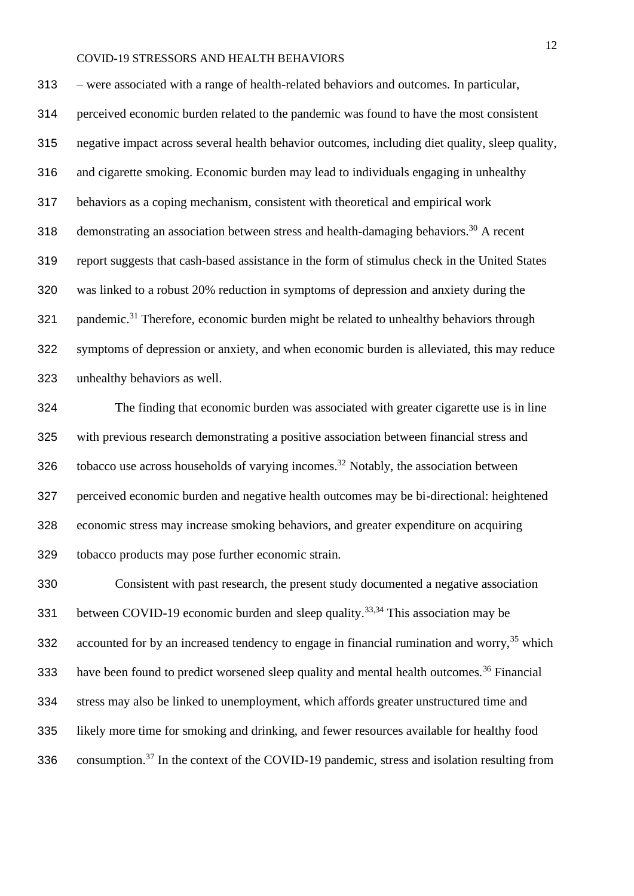– were associated with a range of health-related behaviors and outcomes. In particular, perceived economic burden related to the pandemic was found to have the most consistent negative impact across several health behavior outcomes, including diet quality, sleep quality, and cigarette smoking. Economic burden may lead to individuals engaging in unhealthy behaviors as a coping mechanism, consistent with theoretical and empirical work 318 demonstrating an association between stress and health-damaging behaviors.<sup>30</sup> A recent report suggests that cash-based assistance in the form of stimulus check in the United States was linked to a robust 20% reduction in symptoms of depression and anxiety during the 321 pandemic.<sup>31</sup> Therefore, economic burden might be related to unhealthy behaviors through symptoms of depression or anxiety, and when economic burden is alleviated, this may reduce unhealthy behaviors as well.

 The finding that economic burden was associated with greater cigarette use is in line with previous research demonstrating a positive association between financial stress and 326 tobacco use across households of varying incomes.<sup>32</sup> Notably, the association between perceived economic burden and negative health outcomes may be bi-directional: heightened economic stress may increase smoking behaviors, and greater expenditure on acquiring tobacco products may pose further economic strain.

 Consistent with past research, the present study documented a negative association 331 between COVID-19 economic burden and sleep quality.<sup>33,34</sup> This association may be 332 accounted for by an increased tendency to engage in financial rumination and worry,<sup>35</sup> which 333 have been found to predict worsened sleep quality and mental health outcomes.<sup>36</sup> Financial stress may also be linked to unemployment, which affords greater unstructured time and likely more time for smoking and drinking, and fewer resources available for healthy food 336 consumption.<sup>37</sup> In the context of the COVID-19 pandemic, stress and isolation resulting from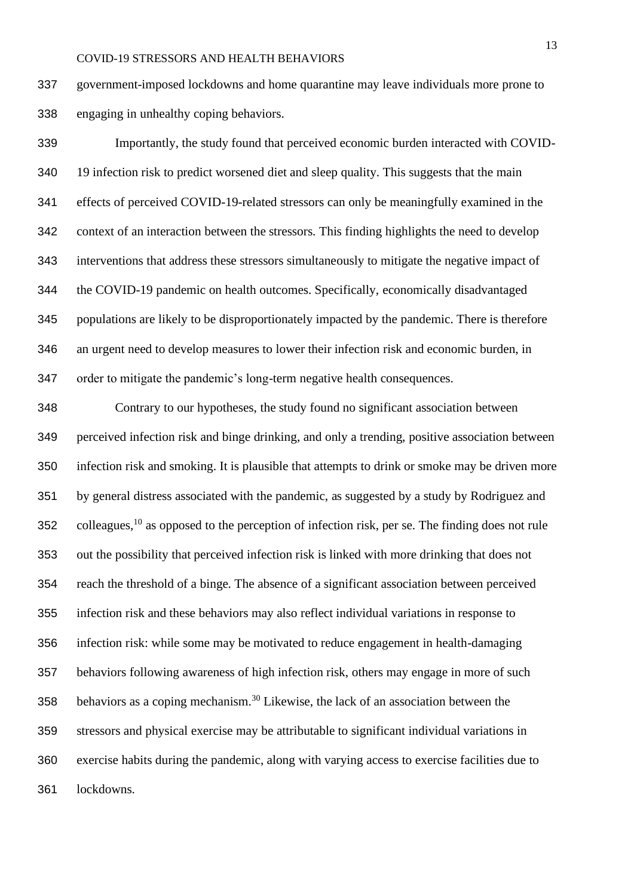government-imposed lockdowns and home quarantine may leave individuals more prone to engaging in unhealthy coping behaviors.

 Importantly, the study found that perceived economic burden interacted with COVID- 19 infection risk to predict worsened diet and sleep quality. This suggests that the main effects of perceived COVID-19-related stressors can only be meaningfully examined in the context of an interaction between the stressors. This finding highlights the need to develop interventions that address these stressors simultaneously to mitigate the negative impact of the COVID-19 pandemic on health outcomes. Specifically, economically disadvantaged populations are likely to be disproportionately impacted by the pandemic. There is therefore an urgent need to develop measures to lower their infection risk and economic burden, in order to mitigate the pandemic's long-term negative health consequences.

 Contrary to our hypotheses, the study found no significant association between perceived infection risk and binge drinking, and only a trending, positive association between infection risk and smoking. It is plausible that attempts to drink or smoke may be driven more by general distress associated with the pandemic, as suggested by a study by Rodriguez and 352 colleagues, as opposed to the perception of infection risk, per se. The finding does not rule out the possibility that perceived infection risk is linked with more drinking that does not reach the threshold of a binge. The absence of a significant association between perceived infection risk and these behaviors may also reflect individual variations in response to infection risk: while some may be motivated to reduce engagement in health-damaging behaviors following awareness of high infection risk, others may engage in more of such 358 behaviors as a coping mechanism.<sup>30</sup> Likewise, the lack of an association between the stressors and physical exercise may be attributable to significant individual variations in exercise habits during the pandemic, along with varying access to exercise facilities due to lockdowns.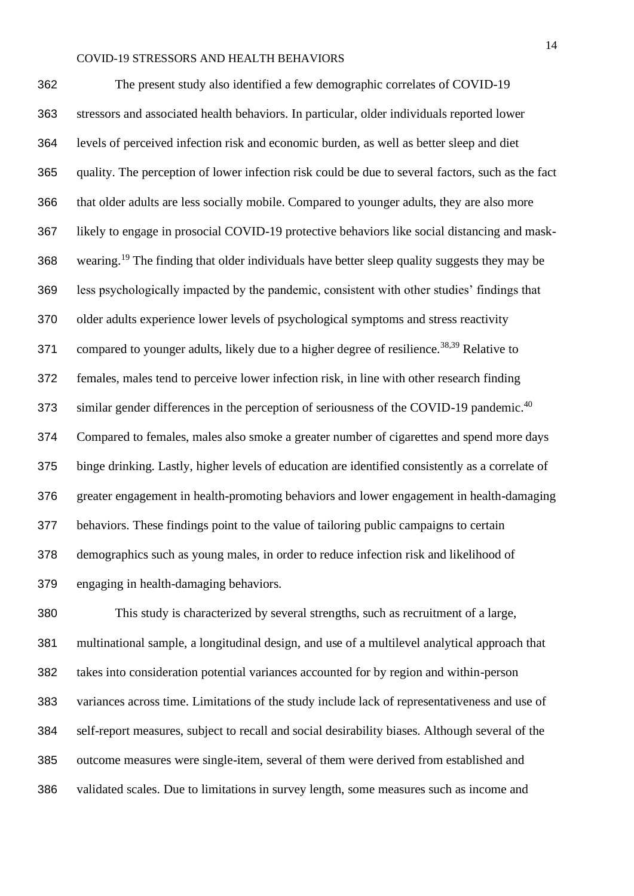The present study also identified a few demographic correlates of COVID-19 stressors and associated health behaviors. In particular, older individuals reported lower levels of perceived infection risk and economic burden, as well as better sleep and diet quality. The perception of lower infection risk could be due to several factors, such as the fact that older adults are less socially mobile. Compared to younger adults, they are also more likely to engage in prosocial COVID-19 protective behaviors like social distancing and mask-368 wearing.<sup>19</sup> The finding that older individuals have better sleep quality suggests they may be less psychologically impacted by the pandemic, consistent with other studies' findings that older adults experience lower levels of psychological symptoms and stress reactivity 371 compared to younger adults, likely due to a higher degree of resilience.<sup>38,39</sup> Relative to females, males tend to perceive lower infection risk, in line with other research finding 373 similar gender differences in the perception of seriousness of the COVID-19 pandemic.<sup>40</sup> Compared to females, males also smoke a greater number of cigarettes and spend more days binge drinking. Lastly, higher levels of education are identified consistently as a correlate of greater engagement in health-promoting behaviors and lower engagement in health-damaging behaviors. These findings point to the value of tailoring public campaigns to certain demographics such as young males, in order to reduce infection risk and likelihood of engaging in health-damaging behaviors.

 This study is characterized by several strengths, such as recruitment of a large, multinational sample, a longitudinal design, and use of a multilevel analytical approach that takes into consideration potential variances accounted for by region and within-person variances across time. Limitations of the study include lack of representativeness and use of self-report measures, subject to recall and social desirability biases. Although several of the outcome measures were single-item, several of them were derived from established and validated scales. Due to limitations in survey length, some measures such as income and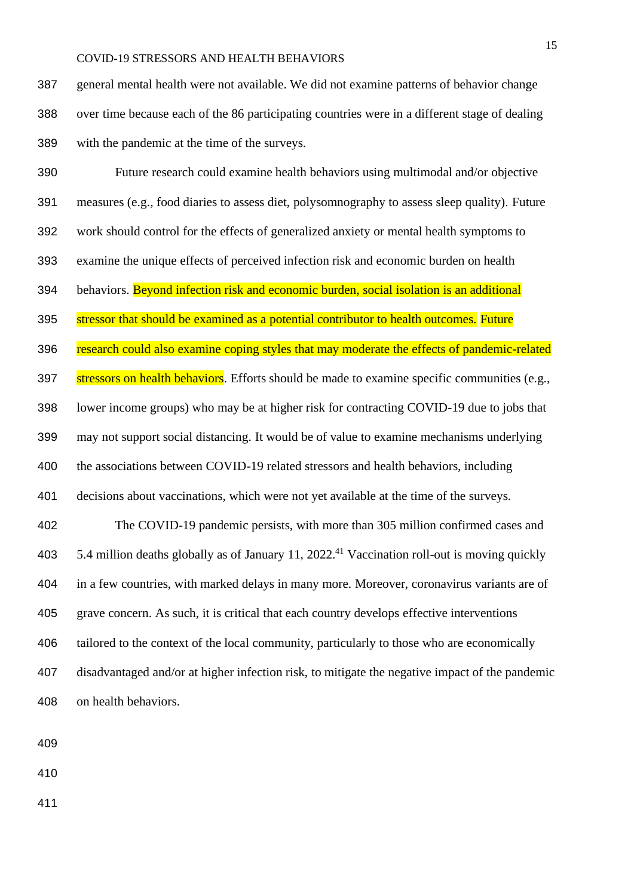general mental health were not available. We did not examine patterns of behavior change over time because each of the 86 participating countries were in a different stage of dealing with the pandemic at the time of the surveys.

 Future research could examine health behaviors using multimodal and/or objective measures (e.g., food diaries to assess diet, polysomnography to assess sleep quality). Future work should control for the effects of generalized anxiety or mental health symptoms to examine the unique effects of perceived infection risk and economic burden on health 394 behaviors. Beyond infection risk and economic burden, social isolation is an additional 395 stressor that should be examined as a potential contributor to health outcomes. Future research could also examine coping styles that may moderate the effects of pandemic-related 397 stressors on health behaviors. Efforts should be made to examine specific communities (e.g., lower income groups) who may be at higher risk for contracting COVID-19 due to jobs that may not support social distancing. It would be of value to examine mechanisms underlying the associations between COVID-19 related stressors and health behaviors, including decisions about vaccinations, which were not yet available at the time of the surveys. The COVID-19 pandemic persists, with more than 305 million confirmed cases and  $\,$  5.4 million deaths globally as of January 11, 2022.<sup>41</sup> Vaccination roll-out is moving quickly in a few countries, with marked delays in many more. Moreover, coronavirus variants are of grave concern. As such, it is critical that each country develops effective interventions 406 tailored to the context of the local community, particularly to those who are economically disadvantaged and/or at higher infection risk, to mitigate the negative impact of the pandemic on health behaviors.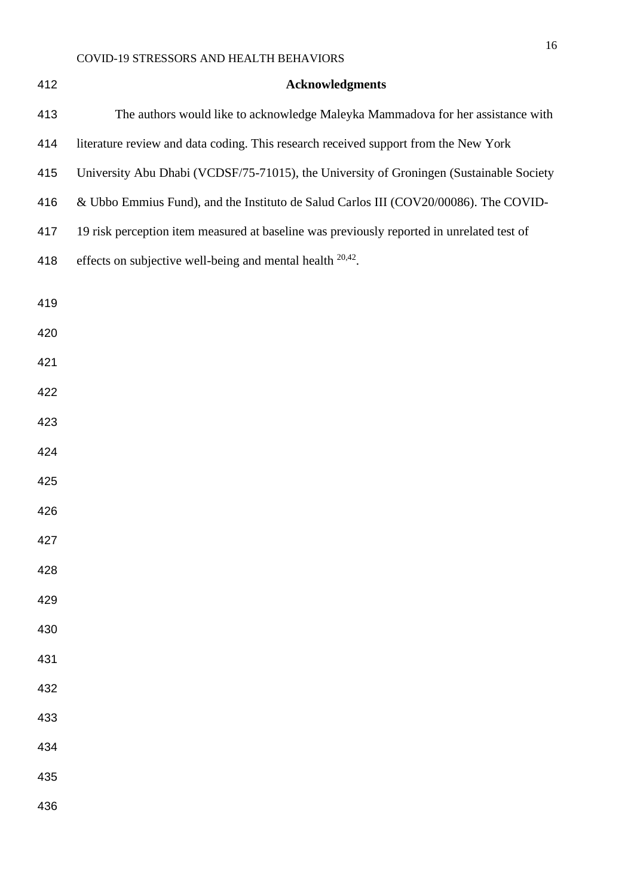| 412 | <b>Acknowledgments</b>                                                                    |
|-----|-------------------------------------------------------------------------------------------|
| 413 | The authors would like to acknowledge Maleyka Mammadova for her assistance with           |
| 414 | literature review and data coding. This research received support from the New York       |
| 415 | University Abu Dhabi (VCDSF/75-71015), the University of Groningen (Sustainable Society   |
| 416 | & Ubbo Emmius Fund), and the Instituto de Salud Carlos III (COV20/00086). The COVID-      |
| 417 | 19 risk perception item measured at baseline was previously reported in unrelated test of |
| 418 | effects on subjective well-being and mental health $20,42$ .                              |
| 419 |                                                                                           |
| 420 |                                                                                           |
| 421 |                                                                                           |
| 422 |                                                                                           |
| 423 |                                                                                           |
| 424 |                                                                                           |
| 425 |                                                                                           |
| 426 |                                                                                           |
| 427 |                                                                                           |
| 428 |                                                                                           |
| 429 |                                                                                           |
| 430 |                                                                                           |
| 431 |                                                                                           |
| 432 |                                                                                           |
| 433 |                                                                                           |
| 434 |                                                                                           |
| 435 |                                                                                           |
| 436 |                                                                                           |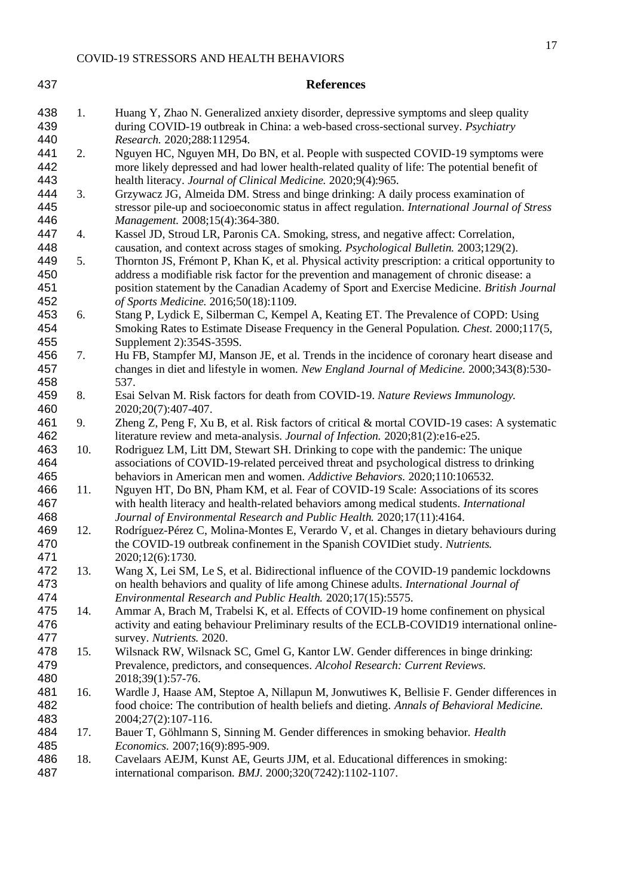| 437                      |     | <b>References</b>                                                                                                                                                                                                                                                                                                                   |
|--------------------------|-----|-------------------------------------------------------------------------------------------------------------------------------------------------------------------------------------------------------------------------------------------------------------------------------------------------------------------------------------|
| 438<br>439<br>440        | 1.  | Huang Y, Zhao N. Generalized anxiety disorder, depressive symptoms and sleep quality<br>during COVID-19 outbreak in China: a web-based cross-sectional survey. Psychiatry<br>Research. 2020;288:112954.                                                                                                                             |
| 441<br>442<br>443        | 2.  | Nguyen HC, Nguyen MH, Do BN, et al. People with suspected COVID-19 symptoms were<br>more likely depressed and had lower health-related quality of life: The potential benefit of<br>health literacy. Journal of Clinical Medicine. 2020;9(4):965.                                                                                   |
| 444<br>445<br>446        | 3.  | Grzywacz JG, Almeida DM. Stress and binge drinking: A daily process examination of<br>stressor pile-up and socioeconomic status in affect regulation. International Journal of Stress<br>Management. 2008;15(4):364-380.                                                                                                            |
| 447<br>448               | 4.  | Kassel JD, Stroud LR, Paronis CA. Smoking, stress, and negative affect: Correlation,<br>causation, and context across stages of smoking. Psychological Bulletin. 2003;129(2).                                                                                                                                                       |
| 449<br>450<br>451<br>452 | 5.  | Thornton JS, Frémont P, Khan K, et al. Physical activity prescription: a critical opportunity to<br>address a modifiable risk factor for the prevention and management of chronic disease: a<br>position statement by the Canadian Academy of Sport and Exercise Medicine. British Journal<br>of Sports Medicine. 2016;50(18):1109. |
| 453<br>454<br>455        | 6.  | Stang P, Lydick E, Silberman C, Kempel A, Keating ET. The Prevalence of COPD: Using<br>Smoking Rates to Estimate Disease Frequency in the General Population. Chest. 2000;117(5,<br>Supplement 2):354S-359S.                                                                                                                        |
| 456<br>457<br>458        | 7.  | Hu FB, Stampfer MJ, Manson JE, et al. Trends in the incidence of coronary heart disease and<br>changes in diet and lifestyle in women. New England Journal of Medicine. 2000;343(8):530-<br>537.                                                                                                                                    |
| 459<br>460               | 8.  | Esai Selvan M. Risk factors for death from COVID-19. Nature Reviews Immunology.<br>2020;20(7):407-407.                                                                                                                                                                                                                              |
| 461<br>462               | 9.  | Zheng Z, Peng F, Xu B, et al. Risk factors of critical & mortal COVID-19 cases: A systematic<br>literature review and meta-analysis. Journal of Infection. 2020;81(2):e16-e25.                                                                                                                                                      |
| 463<br>464<br>465        | 10. | Rodriguez LM, Litt DM, Stewart SH. Drinking to cope with the pandemic: The unique<br>associations of COVID-19-related perceived threat and psychological distress to drinking<br>behaviors in American men and women. Addictive Behaviors. 2020;110:106532.                                                                         |
| 466<br>467<br>468        | 11. | Nguyen HT, Do BN, Pham KM, et al. Fear of COVID-19 Scale: Associations of its scores<br>with health literacy and health-related behaviors among medical students. International<br>Journal of Environmental Research and Public Health. 2020;17(11):4164.                                                                           |
| 469<br>470<br>471        | 12. | Rodríguez-Pérez C, Molina-Montes E, Verardo V, et al. Changes in dietary behaviours during<br>the COVID-19 outbreak confinement in the Spanish COVIDiet study. Nutrients.<br>2020;12(6):1730.                                                                                                                                       |
| 472<br>473<br>474        | 13. | Wang X, Lei SM, Le S, et al. Bidirectional influence of the COVID-19 pandemic lockdowns<br>on health behaviors and quality of life among Chinese adults. International Journal of<br>Environmental Research and Public Health. 2020;17(15):5575.                                                                                    |
| 475<br>476<br>477        | 14. | Ammar A, Brach M, Trabelsi K, et al. Effects of COVID-19 home confinement on physical<br>activity and eating behaviour Preliminary results of the ECLB-COVID19 international online-<br>survey. Nutrients. 2020.                                                                                                                    |
| 478<br>479<br>480        | 15. | Wilsnack RW, Wilsnack SC, Gmel G, Kantor LW. Gender differences in binge drinking:<br>Prevalence, predictors, and consequences. Alcohol Research: Current Reviews.<br>2018;39(1):57-76.                                                                                                                                             |
| 481<br>482<br>483        | 16. | Wardle J, Haase AM, Steptoe A, Nillapun M, Jonwutiwes K, Bellisie F. Gender differences in<br>food choice: The contribution of health beliefs and dieting. Annals of Behavioral Medicine.<br>2004;27(2):107-116.                                                                                                                    |
| 484<br>485               | 17. | Bauer T, Göhlmann S, Sinning M. Gender differences in smoking behavior. Health<br>Economics. 2007;16(9):895-909.                                                                                                                                                                                                                    |
| 486<br>487               | 18. | Cavelaars AEJM, Kunst AE, Geurts JJM, et al. Educational differences in smoking:<br>international comparison. BMJ. 2000;320(7242):1102-1107.                                                                                                                                                                                        |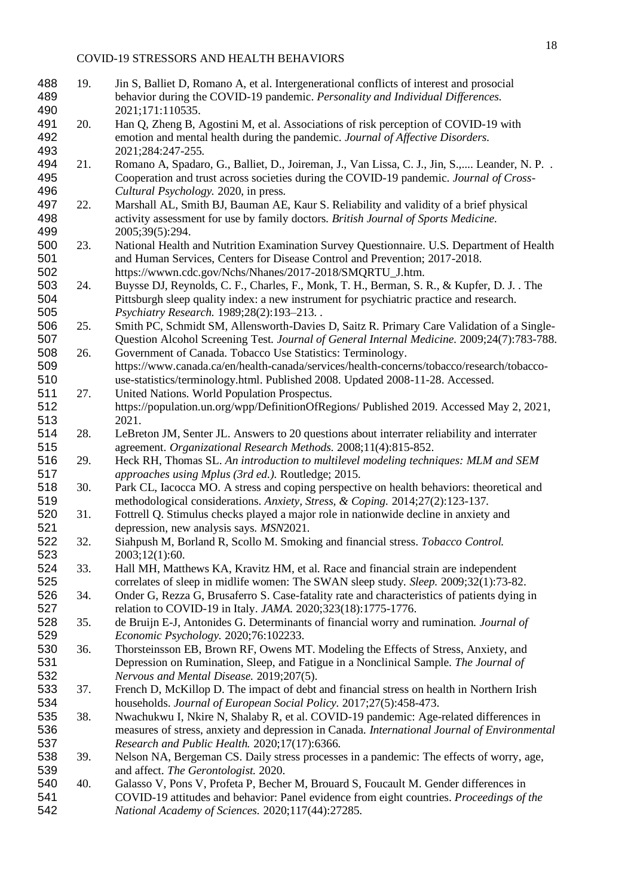| 488 | 19. | Jin S, Balliet D, Romano A, et al. Intergenerational conflicts of interest and prosocial        |
|-----|-----|-------------------------------------------------------------------------------------------------|
| 489 |     | behavior during the COVID-19 pandemic. Personality and Individual Differences.                  |
| 490 |     | 2021;171:110535.                                                                                |
| 491 | 20. | Han Q, Zheng B, Agostini M, et al. Associations of risk perception of COVID-19 with             |
| 492 |     | emotion and mental health during the pandemic. Journal of Affective Disorders.                  |
| 493 |     | 2021;284:247-255.                                                                               |
| 494 | 21. | Romano A, Spadaro, G., Balliet, D., Joireman, J., Van Lissa, C. J., Jin, S., Leander, N. P. .   |
| 495 |     | Cooperation and trust across societies during the COVID-19 pandemic. Journal of Cross-          |
| 496 |     | Cultural Psychology. 2020, in press.                                                            |
| 497 | 22. | Marshall AL, Smith BJ, Bauman AE, Kaur S. Reliability and validity of a brief physical          |
| 498 |     | activity assessment for use by family doctors. British Journal of Sports Medicine.              |
| 499 |     | 2005;39(5):294.                                                                                 |
| 500 | 23. | National Health and Nutrition Examination Survey Questionnaire. U.S. Department of Health       |
| 501 |     |                                                                                                 |
|     |     | and Human Services, Centers for Disease Control and Prevention; 2017-2018.                      |
| 502 |     | https://wwwn.cdc.gov/Nchs/Nhanes/2017-2018/SMQRTU_J.htm.                                        |
| 503 | 24. | Buysse DJ, Reynolds, C. F., Charles, F., Monk, T. H., Berman, S. R., & Kupfer, D. J. . The      |
| 504 |     | Pittsburgh sleep quality index: a new instrument for psychiatric practice and research.         |
| 505 |     | Psychiatry Research. 1989;28(2):193-213                                                         |
| 506 | 25. | Smith PC, Schmidt SM, Allensworth-Davies D, Saitz R. Primary Care Validation of a Single-       |
| 507 |     | Question Alcohol Screening Test. Journal of General Internal Medicine. 2009;24(7):783-788.      |
| 508 | 26. | Government of Canada. Tobacco Use Statistics: Terminology.                                      |
| 509 |     | https://www.canada.ca/en/health-canada/services/health-concerns/tobacco/research/tobacco-       |
| 510 |     | use-statistics/terminology.html. Published 2008. Updated 2008-11-28. Accessed.                  |
| 511 | 27. | United Nations. World Population Prospectus.                                                    |
| 512 |     | https://population.un.org/wpp/DefinitionOfRegions/ Published 2019. Accessed May 2, 2021,        |
| 513 |     | 2021.                                                                                           |
| 514 | 28. | LeBreton JM, Senter JL. Answers to 20 questions about interrater reliability and interrater     |
| 515 |     | agreement. Organizational Research Methods. 2008;11(4):815-852.                                 |
| 516 | 29. | Heck RH, Thomas SL. An introduction to multilevel modeling techniques: MLM and SEM              |
| 517 |     | approaches using Mplus (3rd ed.). Routledge; 2015.                                              |
| 518 | 30. | Park CL, Iacocca MO. A stress and coping perspective on health behaviors: theoretical and       |
| 519 |     | methodological considerations. Anxiety, Stress, & Coping. 2014;27(2):123-137.                   |
| 520 | 31. | Fottrell Q. Stimulus checks played a major role in nationwide decline in anxiety and            |
| 521 |     | depression, new analysis says. MSN2021.                                                         |
| 522 | 32. | Siahpush M, Borland R, Scollo M. Smoking and financial stress. Tobacco Control.                 |
| 523 |     | 2003;12(1):60.                                                                                  |
| 524 | 33. | Hall MH, Matthews KA, Kravitz HM, et al. Race and financial strain are independent              |
| 525 |     | correlates of sleep in midlife women: The SWAN sleep study. Sleep. 2009;32(1):73-82.            |
| 526 | 34. | Onder G, Rezza G, Brusaferro S. Case-fatality rate and characteristics of patients dying in     |
| 527 |     | relation to COVID-19 in Italy. JAMA. 2020;323(18):1775-1776.                                    |
| 528 | 35. | de Bruijn E-J, Antonides G. Determinants of financial worry and rumination. Journal of          |
| 529 |     | Economic Psychology. 2020;76:102233.                                                            |
| 530 | 36. | Thorsteinsson EB, Brown RF, Owens MT. Modeling the Effects of Stress, Anxiety, and              |
| 531 |     | Depression on Rumination, Sleep, and Fatigue in a Nonclinical Sample. The Journal of            |
| 532 |     | Nervous and Mental Disease. 2019;207(5).                                                        |
| 533 | 37. | French D, McKillop D. The impact of debt and financial stress on health in Northern Irish       |
| 534 |     | households. Journal of European Social Policy. 2017;27(5):458-473.                              |
| 535 | 38. | Nwachukwu I, Nkire N, Shalaby R, et al. COVID-19 pandemic: Age-related differences in           |
| 536 |     |                                                                                                 |
|     |     | measures of stress, anxiety and depression in Canada. International Journal of Environmental    |
| 537 |     | Research and Public Health. 2020;17(17):6366.                                                   |
| 538 | 39. | Nelson NA, Bergeman CS. Daily stress processes in a pandemic: The effects of worry, age,        |
| 539 |     | and affect. The Gerontologist. 2020.                                                            |
| 540 | 40. | Galasso V, Pons V, Profeta P, Becher M, Brouard S, Foucault M. Gender differences in            |
| 541 |     | COVID-19 attitudes and behavior: Panel evidence from eight countries. <i>Proceedings of the</i> |
| 542 |     | National Academy of Sciences. 2020;117(44):27285.                                               |